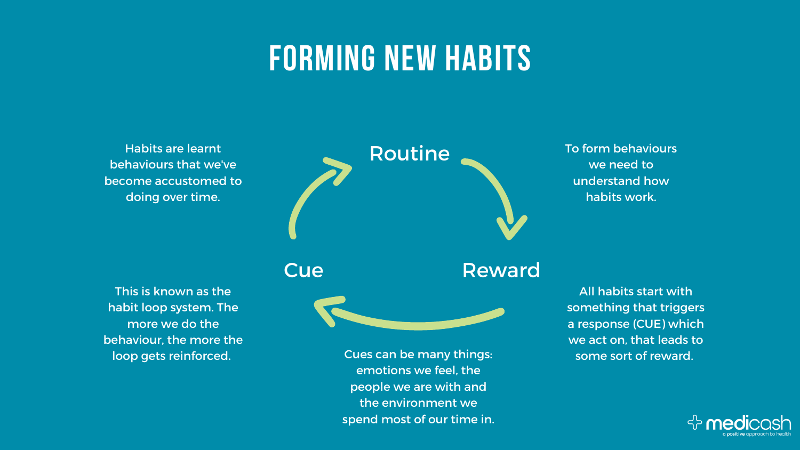

## **FORMING NEW HABITS**

Habits are learnt behaviours that we've become accustomed to doing over time.

To form behaviours we need to understand how habits work.

All habits start with something that triggers a response (CUE) which we act on, that leads to some sort of reward.



This is known as the habit loop system. The more we do the behaviour, the more the

loop gets reinforced. Cues can be many things: emotions we feel, the people we are with and the environment we spend most of our time in.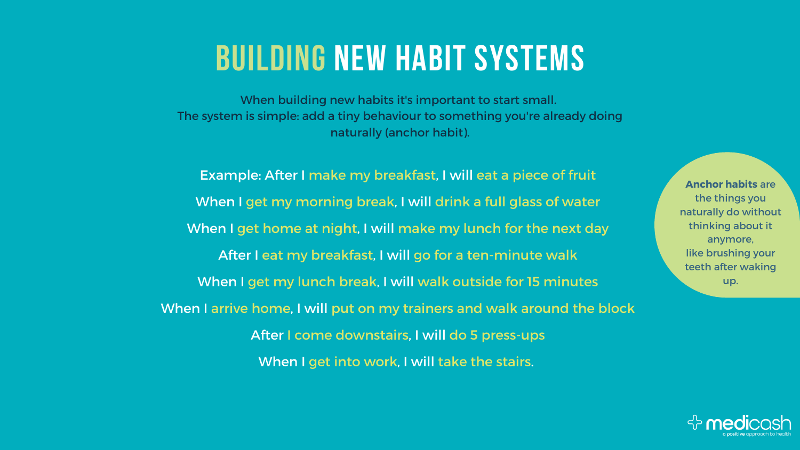## **BUILDING NEW HABIT SYSTEMS**

Example: After I make my breakfast, I will eat a piece of fruit When I get my morning break, I will drink a full glass of water When I get home at night, I will make my lunch for the next day After I eat my breakfast, I will go for a ten-minute walk When I get my lunch break, I will walk outside for 15 minutes When I arrive home, I will put on my trainers and walk around the block After I come downstairs, I will do 5 press-ups When I get into work, I will take the stairs.

- 
- 
- 
- 
- 
- 
- 
- 

When building new habits it's important to start small. The system is simple: add a tiny behaviour to something you're already doing naturally (anchor habit).

> **Anchor habits** are the things you naturally do without thinking about it anymore, like brushing your teeth after waking up.